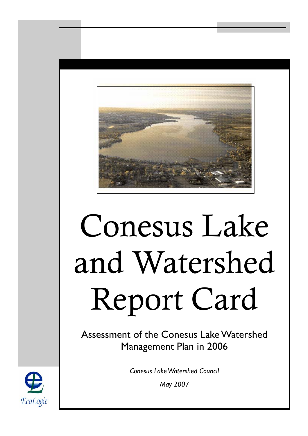

# Conesus Lake and Watershed Report Card

Assessment of the Conesus Lake Watershed Management Plan in 2006

> *Conesus Lake Watershed Council May 2007*

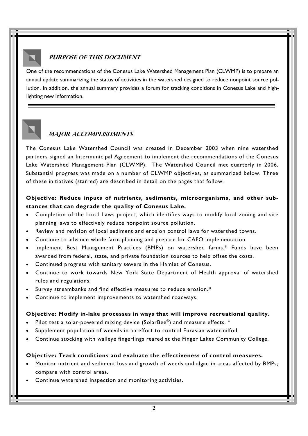## **PURPOSE OF THIS DOCUMENT**

One of the recommendations of the Conesus Lake Watershed Management Plan (CLWMP) is to prepare an annual update summarizing the status of activities in the watershed designed to reduce nonpoint source pollution. In addition, the annual summary provides a forum for tracking conditions in Conesus Lake and highlighting new information.



#### **Major accomplishments**

The Conesus Lake Watershed Council was created in December 2003 when nine watershed partners signed an Intermunicipal Agreement to implement the recommendations of the Conesus Lake Watershed Management Plan (CLWMP). The Watershed Council met quarterly in 2006. Substantial progress was made on a number of CLWMP objectives, as summarized below. Three of these initiatives (starred) are described in detail on the pages that follow.

#### **Objective: Reduce inputs of nutrients, sediments, microorganisms, and other substances that can degrade the quality of Conesus Lake.**

- Completion of the Local Laws project, which identifies ways to modify local zoning and site planning laws to effectively reduce nonpoint source pollution.
- Review and revision of local sediment and erosion control laws for watershed towns.
- Continue to advance whole farm planning and prepare for CAFO implementation.
- Implement Best Management Practices (BMPs) on watershed farms.\* Funds have been awarded from federal, state, and private foundation sources to help offset the costs.
- Continued progress with sanitary sewers in the Hamlet of Conesus.
- Continue to work towards New York State Department of Health approval of watershed rules and regulations.
- Survey streambanks and find effective measures to reduce erosion.\*
- Continue to implement improvements to watershed roadways.

#### **Objective: Modify in-lake processes in ways that will improve recreational quality.**

- Pilot test a solar-powered mixing device (SolarBee®) and measure effects. \*
- Supplement population of weevils in an effort to control Eurasian watermilfoil.
- Continue stocking with walleye fingerlings reared at the Finger Lakes Community College.

#### **Objective: Track conditions and evaluate the effectiveness of control measures.**

- Monitor nutrient and sediment loss and growth of weeds and algae in areas affected by BMPs; compare with control areas.
- Continue watershed inspection and monitoring activities.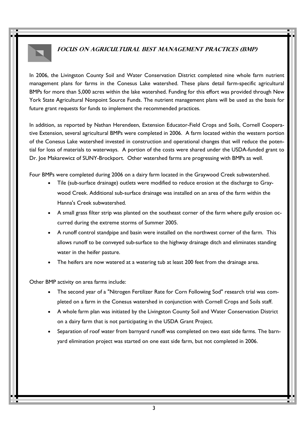### **FOCUS ON AGRICULTURAL BEST MANAGEMENT PRACTICES (BMP)**

In 2006, the Livingston County Soil and Water Conservation District completed nine whole farm nutrient management plans for farms in the Conesus Lake watershed. These plans detail farm-specific agricultural BMPs for more than 5,000 acres within the lake watershed. Funding for this effort was provided through New York State Agricultural Nonpoint Source Funds. The nutrient management plans will be used as the basis for future grant requests for funds to implement the recommended practices.

In addition, as reported by Nathan Herendeen, Extension Educator-Field Crops and Soils, Cornell Cooperative Extension, several agricultural BMPs were completed in 2006. A farm located within the western portion of the Conesus Lake watershed invested in construction and operational changes that will reduce the potential for loss of materials to waterways. A portion of the costs were shared under the USDA-funded grant to Dr. Joe Makarewicz of SUNY-Brockport. Other watershed farms are progressing with BMPs as well.

Four BMPs were completed during 2006 on a dairy farm located in the Graywood Creek subwatershed.

- Tile (sub-surface drainage) outlets were modified to reduce erosion at the discharge to Graywood Creek. Additional sub-surface drainage was installed on an area of the farm within the Hanna's Creek subwatershed.
- A small grass filter strip was planted on the southeast corner of the farm where gully erosion occurred during the extreme storms of Summer 2005.
- A runoff control standpipe and basin were installed on the northwest corner of the farm. This allows runoff to be conveyed sub-surface to the highway drainage ditch and eliminates standing water in the heifer pasture.
- The heifers are now watered at a watering tub at least 200 feet from the drainage area.

Other BMP activity on area farms include:

- The second year of a "Nitrogen Fertilizer Rate for Corn Following Sod" research trial was completed on a farm in the Conesus watershed in conjunction with Cornell Crops and Soils staff.
- A whole farm plan was initiated by the Livingston County Soil and Water Conservation District on a dairy farm that is not participating in the USDA Grant Project.
- Separation of roof water from barnyard runoff was completed on two east side farms. The barnyard elimination project was started on one east side farm, but not completed in 2006.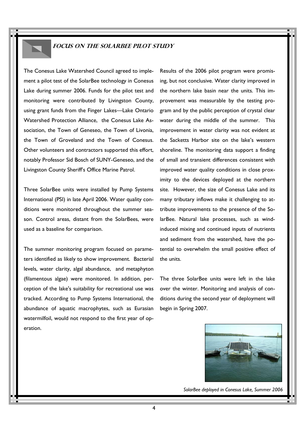#### **FOCUS ON THE SolarBee Pilot Study**

The Conesus Lake Watershed Council agreed to implement a pilot test of the SolarBee technology in Conesus Lake during summer 2006. Funds for the pilot test and monitoring were contributed by Livingston County, using grant funds from the Finger Lakes—Lake Ontario Watershed Protection Alliance, the Conesus Lake Association, the Town of Geneseo, the Town of Livonia, the Town of Groveland and the Town of Conesus. Other volunteers and contractors supported this effort, notably Professor Sid Bosch of SUNY-Geneseo, and the Livingston County Sheriff's Office Marine Patrol.

Three SolarBee units were installed by Pump Systems International (PSI) in late April 2006. Water quality conditions were monitored throughout the summer season. Control areas, distant from the SolarBees, were used as a baseline for comparison.

The summer monitoring program focused on parameters identified as likely to show improvement. Bacterial levels, water clarity, algal abundance, and metaphyton (filamentous algae) were monitored. In addition, perception of the lake's suitability for recreational use was tracked. According to Pump Systems International, the abundance of aquatic macrophytes, such as Eurasian watermilfoil, would not respond to the first year of operation.

Results of the 2006 pilot program were promising, but not conclusive. Water clarity improved in the northern lake basin near the units. This improvement was measurable by the testing program and by the public perception of crystal clear water during the middle of the summer. This improvement in water clarity was not evident at the Sacketts Harbor site on the lake's western shoreline. The monitoring data support a finding of small and transient differences consistent with improved water quality conditions in close proximity to the devices deployed at the northern site. However, the size of Conesus Lake and its many tributary inflows make it challenging to attribute improvements to the presence of the SolarBee. Natural lake processes, such as windinduced mixing and continued inputs of nutrients and sediment from the watershed, have the potential to overwhelm the small positive effect of the units.

The three SolarBee units were left in the lake over the winter. Monitoring and analysis of conditions during the second year of deployment will begin in Spring 2007.



*SolarBee deployed in Conesus Lake, Summer 2006*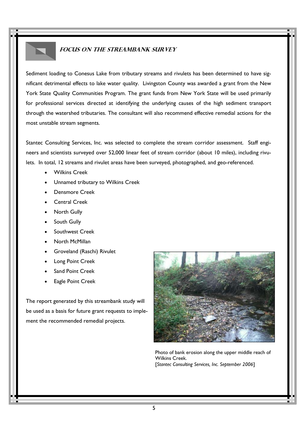## **Focus on the Streambank Survey**

Sediment loading to Conesus Lake from tributary streams and rivulets has been determined to have significant detrimental effects to lake water quality. Livingston County was awarded a grant from the New York State Quality Communities Program. The grant funds from New York State will be used primarily for professional services directed at identifying the underlying causes of the high sediment transport through the watershed tributaries. The consultant will also recommend effective remedial actions for the most unstable stream segments.

Stantec Consulting Services, Inc. was selected to complete the stream corridor assessment. Staff engineers and scientists surveyed over 52,000 linear feet of stream corridor (about 10 miles), including rivulets. In total, 12 streams and rivulet areas have been surveyed, photographed, and geo-referenced.

- Wilkins Creek
- Unnamed tributary to Wilkins Creek
- Densmore Creek
- Central Creek
- **North Gully**
- South Gully
- Southwest Creek
- North McMillan
- Groveland (Raschi) Rivulet
- Long Point Creek
- Sand Point Creek
- **Eagle Point Creek**

The report generated by this streambank study will be used as a basis for future grant requests to implement the recommended remedial projects.



 Photo of bank erosion along the upper middle reach of Wilkins Creek. [*Stantec Consulting Services, Inc. September 2006*]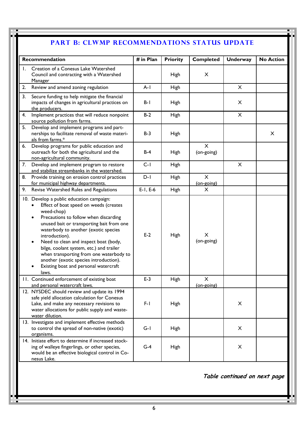## PART B: CLWMP RECOMMENDATIONS STATUS UPDATE

| Recommendation |                                                                                                                                                                                                                                                                                                                                                                                                                                                                                                                     | # in Plan  | <b>Priority</b> | <b>Completed</b>       | <b>Underway</b> | <b>No Action</b> |
|----------------|---------------------------------------------------------------------------------------------------------------------------------------------------------------------------------------------------------------------------------------------------------------------------------------------------------------------------------------------------------------------------------------------------------------------------------------------------------------------------------------------------------------------|------------|-----------------|------------------------|-----------------|------------------|
| Ι.             | Creation of a Conesus Lake Watershed<br>Council and contracting with a Watershed<br>Manager                                                                                                                                                                                                                                                                                                                                                                                                                         |            | High            | X                      |                 |                  |
| 2.             | Review and amend zoning regulation                                                                                                                                                                                                                                                                                                                                                                                                                                                                                  | $A-I$      | High            |                        | X               |                  |
| 3.             | Secure funding to help mitigate the financial<br>impacts of changes in agricultural practices on<br>the producers.                                                                                                                                                                                                                                                                                                                                                                                                  | B-I        | <b>High</b>     |                        | X               |                  |
| 4.             | Implement practices that will reduce nonpoint<br>source pollution from farms.                                                                                                                                                                                                                                                                                                                                                                                                                                       | $B-2$      | <b>High</b>     |                        | X               |                  |
| 5.             | Develop and implement programs and part-<br>nerships to facilitate removal of waste materi-<br>als from farms.*                                                                                                                                                                                                                                                                                                                                                                                                     | $B-3$      | High            |                        |                 | $\times$         |
| 6.             | Develop programs for public education and<br>outreach for both the agricultural and the<br>non-agricultural community.                                                                                                                                                                                                                                                                                                                                                                                              | $B-4$      | High            | X<br>(on-going)        |                 |                  |
| 7.             | Develop and implement program to restore<br>and stabilize streambanks in the watershed.                                                                                                                                                                                                                                                                                                                                                                                                                             | $C-I$      | <b>High</b>     |                        | X               |                  |
| 8.             | Provide training on erosion control practices<br>for municipal highway departments.                                                                                                                                                                                                                                                                                                                                                                                                                                 | $D-I$      | High            | X<br>$(on-going)$      |                 |                  |
| 9.             | Revise Watershed Rules and Regulations                                                                                                                                                                                                                                                                                                                                                                                                                                                                              | $E-1, E-6$ | High            | X                      |                 |                  |
|                | 10. Develop a public education campaign:<br>Effect of boat speed on weeds (creates<br>$\bullet$<br>weed-chop)<br>Precautions to follow when discarding<br>$\bullet$<br>unused bait or transporting bait from one<br>waterbody to another (exotic species<br>introduction).<br>Need to clean and inspect boat (body,<br>$\bullet$<br>bilge, coolant system, etc.) and trailer<br>when transporting from one waterbody to<br>another (exotic species introduction).<br>Existing boat and personal watercraft<br>laws. | $E-2$      | High            | X<br>(on-going)        |                 |                  |
|                | 11. Continued enforcement of existing boat<br>and personal watercraft laws.                                                                                                                                                                                                                                                                                                                                                                                                                                         | $E-3$      | High            | $\times$<br>(on-going) |                 |                  |
|                | 12. NYSDEC should review and update its 1994<br>safe yield allocation calculation for Conesus<br>Lake, and make any necessary revisions to<br>water allocations for public supply and waste-<br>water dilution.                                                                                                                                                                                                                                                                                                     | $F-1$      | High            |                        | X               |                  |
|                | 13. Investigate and implement effective methods<br>to control the spread of non-native (exotic)<br>organisms.                                                                                                                                                                                                                                                                                                                                                                                                       | $G-I$      | High            |                        | X               |                  |
|                | 14. Initiate effort to determine if increased stock-<br>ing of walleye fingerlings, or other species,<br>would be an effective biological control in Co-<br>nesus Lake.                                                                                                                                                                                                                                                                                                                                             | $G-4$      | High            |                        | X               |                  |

**Table continued on next page**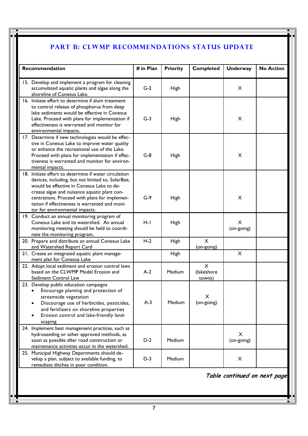# PART B: CLWMP RECOMMENDATIONS STATUS UPDATE

| Recommendation                                                                                                                                                                                                                                                                                                                               | # in Plan | <b>Priority</b> | <b>Completed</b>                 | <b>Underway</b> | <b>No Action</b> |
|----------------------------------------------------------------------------------------------------------------------------------------------------------------------------------------------------------------------------------------------------------------------------------------------------------------------------------------------|-----------|-----------------|----------------------------------|-----------------|------------------|
| 15. Develop and implement a program for cleaning<br>accumulated aquatic plants and algae along the<br>shoreline of Conesus Lake.                                                                                                                                                                                                             | $G-2$     | <b>High</b>     |                                  | X               |                  |
| 16. Initiate effort to determine if alum treatment<br>to control release of phosphorus from deep<br>lake sediments would be effective in Conesus<br>Lake. Proceed with plans for implementation if<br>effectiveness is warranted and monitor for<br>environmental impacts.                                                                   | $G-3$     | <b>High</b>     |                                  | X               |                  |
| 17. Determine if new technologies would be effec-<br>tive in Conesus Lake to improve water quality<br>or enhance the recreational use of the Lake.<br>Proceed with plans for implementation if effec-<br>tiveness is warranted and monitor for environ-<br>mental impacts.                                                                   | $G-8$     | High            |                                  | X               |                  |
| 18. Initiate effort to determine if water circulation<br>devices, including, but not limited to, SolarBee,<br>would be effective in Conesus Lake to de-<br>crease algae and nuisance aquatic plant con-<br>centrations. Proceed with plans for implemen-<br>tation if effectiveness is warranted and moni-<br>tor for environmental impacts. | $G-9$     | <b>High</b>     |                                  | X               |                  |
| 19. Conduct an annual monitoring program of<br>Conesus Lake and its watershed. An annual<br>monitoring meeting should be held to coordi-<br>nate the monitoring program.                                                                                                                                                                     | H-I       | High            |                                  | X<br>(on-going) |                  |
| 20. Prepare and distribute an annual Conesus Lake<br>and Watershed Report Card                                                                                                                                                                                                                                                               | $H-2$     | <b>High</b>     | $\times$<br>(on-going)           |                 |                  |
| 21. Create an integrated aquatic plant manage-<br>ment plan for Conesus Lake                                                                                                                                                                                                                                                                 |           | <b>High</b>     |                                  | $\times$        |                  |
| 22. Adopt local sediment and erosion control laws<br>based on the CLWMP Model Erosion and<br>Sediment Control Law                                                                                                                                                                                                                            | $A-2$     | Medium          | $\times$<br>(lakeshore<br>towns) |                 |                  |
| 23. Develop public education campaigns<br>Encourage planting and protection of<br>streamside vegetation<br>Discourage use of herbicides, pesticides,<br>and fertilizers on shoreline properties<br>Erosion control and lake-friendly land-<br>scaping                                                                                        | $A-3$     | Medium          | X<br>(on-going)                  |                 |                  |
| 24. Implement best management practices, such as<br>hydroseeding or other approved methods, as<br>soon as possible after road construction or<br>maintenance activities occur in the watershed.                                                                                                                                              | $D-2$     | Medium          |                                  | X<br>(on-going) |                  |
| 25. Municipal Highway Departments should de-<br>velop a plan, subject to available funding, to<br>remediate ditches in poor condition.                                                                                                                                                                                                       | $D-3$     | Medium          |                                  | $\pmb{\times}$  |                  |

**Table continued on next page**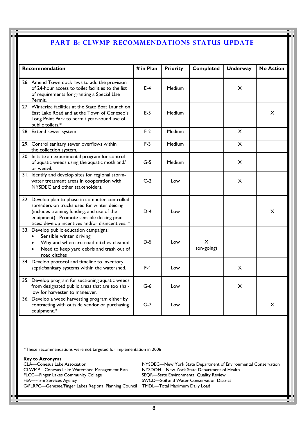#### **PART B: CLWMP RECOMMENDATIONS STATUS UPDATE**

| <b>Recommendation</b>                                                                                                                                                                                                                             | # in Plan | <b>Priority</b> | <b>Completed</b> | <b>Underway</b> | <b>No Action</b> |
|---------------------------------------------------------------------------------------------------------------------------------------------------------------------------------------------------------------------------------------------------|-----------|-----------------|------------------|-----------------|------------------|
| 26. Amend Town dock laws to add the provision<br>of 24-hour access to toilet facilities to the list<br>of requirements for granting a Special Use<br>Permit.                                                                                      | $E-4$     | Medium          |                  | $\times$        |                  |
| 27. Winterize facilities at the State Boat Launch on<br>East Lake Road and at the Town of Geneseo's<br>Long Point Park to permit year-round use of<br>public toilets.*                                                                            | $E-5$     | Medium          |                  |                 | X                |
| 28. Extend sewer system                                                                                                                                                                                                                           | $F-2$     | Medium          |                  | $\mathsf{X}$    |                  |
| 29. Control sanitary sewer overflows within<br>the collection system.                                                                                                                                                                             | $F-3$     | Medium          |                  | X               |                  |
| 30. Initiate an experimental program for control<br>of aquatic weeds using the aquatic moth and/<br>or weevil.                                                                                                                                    | $G-5$     | <b>Medium</b>   |                  | X.              |                  |
| 31. Identify and develop sites for regional storm-<br>water treatment areas in cooperation with<br>NYSDEC and other stakeholders.                                                                                                                 | $C-2$     | Low             |                  | X               |                  |
| 32. Develop plan to phase-in computer-controlled<br>spreaders on trucks used for winter deicing<br>(includes training, funding, and use of the<br>equipment). Promote sensible deicing prac-<br>tices: develop incentives and/or disincentives. * | $D-4$     | Low             |                  |                 | X                |
| 33. Develop public education campaigns:<br>Sensible winter driving<br>$\bullet$<br>Why and when are road ditches cleaned<br>Need to keep yard debris and trash out of<br>road ditches                                                             | $D-5$     | Low             | X.<br>(on-going) |                 |                  |
| 34. Develop protocol and timeline to inventory<br>septic/sanitary systems within the watershed.                                                                                                                                                   | $F-4$     | Low             |                  | X               |                  |
| 35. Develop program for suctioning aquatic weeds<br>from designated public areas that are too shal-<br>low for harvester to maneuver.                                                                                                             | $G-6$     | Low             |                  | X               |                  |
| 36. Develop a weed harvesting program either by<br>contracting with outside vendor or purchasing<br>equipment.*                                                                                                                                   | $G-7$     | Low             |                  |                 | X                |

\*These recommendations were not targeted for implementation in 2006

**Key to Acronyms** 

CLWMP—Conesus Lake Watershed Management Plan<br>FLCC—Finger Lakes Community College FSA—Farm Services Agency SWCD—Soil and Water Conservation District G/FLRPC—Genesee/Finger Lakes Regional Planning Council TMDL—Total Maximum Daily Load

CLA—Conesus Lake Association **NYSDEC—New York State Department of Environmental Conservation**<br>CLWMP—Conesus Lake Watershed Management Plan NYSDOH—New York State Department of Health SEQR—State Environmental Quality Review